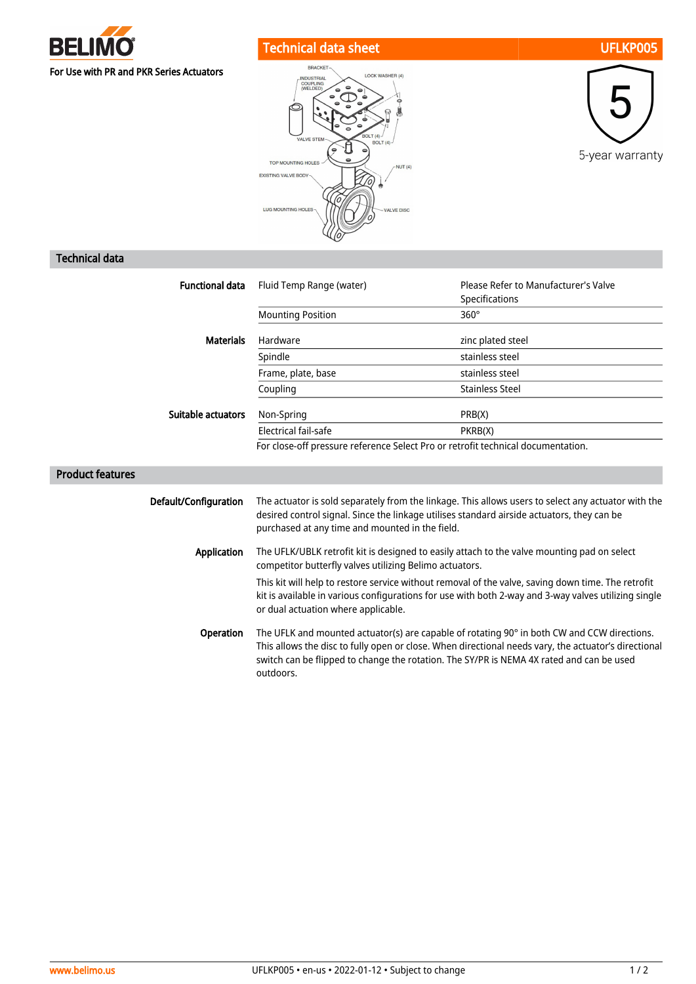

## Technical data sheet UFLKP005







## Technical data

| <b>Functional data</b>    | Fluid Temp Range (water)                                                                                                                                                                                                                                                                                                                                                                                    | Please Refer to Manufacturer's Valve<br>Specifications |
|---------------------------|-------------------------------------------------------------------------------------------------------------------------------------------------------------------------------------------------------------------------------------------------------------------------------------------------------------------------------------------------------------------------------------------------------------|--------------------------------------------------------|
|                           | <b>Mounting Position</b>                                                                                                                                                                                                                                                                                                                                                                                    | $360^\circ$                                            |
| <b>Materials</b>          | Hardware                                                                                                                                                                                                                                                                                                                                                                                                    | zinc plated steel                                      |
|                           | Spindle                                                                                                                                                                                                                                                                                                                                                                                                     | stainless steel                                        |
|                           | Frame, plate, base                                                                                                                                                                                                                                                                                                                                                                                          | stainless steel                                        |
|                           | Coupling                                                                                                                                                                                                                                                                                                                                                                                                    | <b>Stainless Steel</b>                                 |
| <b>Suitable actuators</b> | Non-Spring                                                                                                                                                                                                                                                                                                                                                                                                  | PRB(X)                                                 |
|                           | Electrical fail-safe                                                                                                                                                                                                                                                                                                                                                                                        | PKRB(X)                                                |
|                           | For close-off pressure reference Select Pro or retrofit technical documentation.                                                                                                                                                                                                                                                                                                                            |                                                        |
| <b>Product features</b>   |                                                                                                                                                                                                                                                                                                                                                                                                             |                                                        |
| Default/Configuration     | The actuator is sold separately from the linkage. This allows users to select any actuator with the<br>desired control signal. Since the linkage utilises standard airside actuators, they can be<br>purchased at any time and mounted in the field.                                                                                                                                                        |                                                        |
| <b>Application</b>        | The UFLK/UBLK retrofit kit is designed to easily attach to the valve mounting pad on select<br>competitor butterfly valves utilizing Belimo actuators.<br>This kit will help to restore service without removal of the valve, saving down time. The retrofit<br>kit is available in various configurations for use with both 2-way and 3-way valves utilizing single<br>or dual actuation where applicable. |                                                        |
|                           |                                                                                                                                                                                                                                                                                                                                                                                                             |                                                        |
| Operation                 | The UFLK and mounted actuator(s) are capable of rotating 90° in both CW and CCW directions.<br>This allows the disc to fully open or close. When directional needs vary, the actuator's directional<br>switch can be flipped to change the rotation. The SY/PR is NEMA 4X rated and can be used                                                                                                             |                                                        |

outdoors.